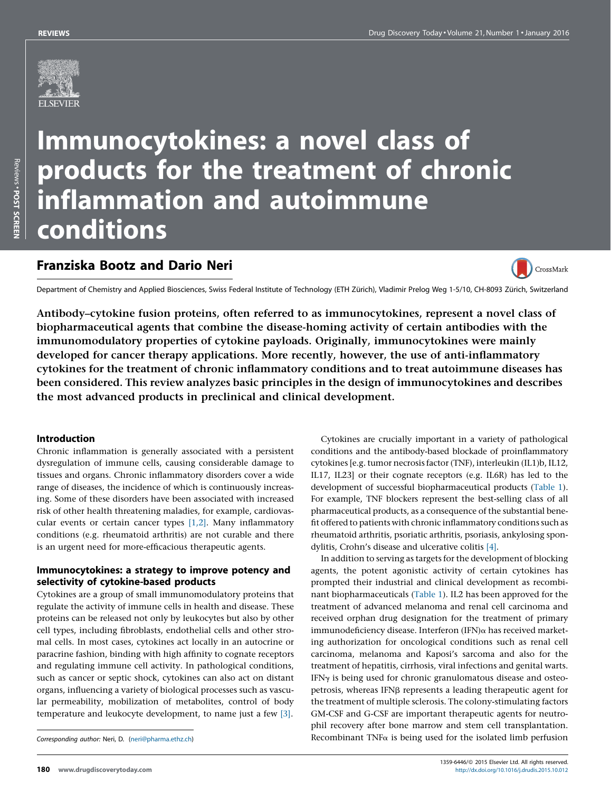

# Immunocytokines: a novel class of products for the treatment of chronic inflammation and autoimmune conditions

## Franziska Bootz and Dario Neri



Department of Chemistry and Applied Biosciences, Swiss Federal Institute of Technology (ETH Zürich), Vladimir Prelog Weg 1-5/10, CH-8093 Zürich, Switzerland

Antibody–cytokine fusion proteins, often referred to as immunocytokines, represent a novel class of biopharmaceutical agents that combine the disease-homing activity of certain antibodies with the immunomodulatory properties of cytokine payloads. Originally, immunocytokines were mainly developed for cancer therapy applications. More recently, however, the use of anti-inflammatory cytokines for the treatment of chronic inflammatory conditions and to treat autoimmune diseases has been considered. This review analyzes basic principles in the design of immunocytokines and describes the most advanced products in preclinical and clinical development.

## Introduction

Chronic inflammation is generally associated with a persistent dysregulation of immune cells, causing considerable damage to tissues and organs. Chronic inflammatory disorders cover a wide range of diseases, the incidence of which is continuously increasing. Some of these disorders have been associated with increased risk of other health threatening maladies, for example, cardiovascular events or certain cancer types [\[1,2\].](#page-7-0) Many inflammatory conditions (e.g. rheumatoid arthritis) are not curable and there is an urgent need for more-efficacious therapeutic agents.

## Immunocytokines: a strategy to improve potency and selectivity of cytokine-based products

Cytokines are a group of small immunomodulatory proteins that regulate the activity of immune cells in health and disease. These proteins can be released not only by leukocytes but also by other cell types, including fibroblasts, endothelial cells and other stromal cells. In most cases, cytokines act locally in an autocrine or paracrine fashion, binding with high affinity to cognate receptors and regulating immune cell activity. In pathological conditions, such as cancer or septic shock, cytokines can also act on distant organs, influencing a variety of biological processes such as vascular permeability, mobilization of metabolites, control of body temperature and leukocyte development, to name just a few [\[3\].](#page-7-0)

Cytokines are crucially important in a variety of pathological conditions and the antibody-based blockade of proinflammatory cytokines [e.g. tumor necrosis factor (TNF), interleukin (IL1)b, IL12, IL17, IL23] or their cognate receptors (e.g. IL6R) has led to the development of successful biopharmaceutical products [\(Table](#page-1-0) 1). For example, TNF blockers represent the best-selling class of all pharmaceutical products, as a consequence of the substantial benefit offered to patients with chronic inflammatory conditions such as rheumatoid arthritis, psoriatic arthritis, psoriasis, ankylosing spondylitis, Crohn's disease and ulcerative colitis [\[4\].](#page-7-0)

In addition to serving as targets for the development of blocking agents, the potent agonistic activity of certain cytokines has prompted their industrial and clinical development as recombinant biopharmaceuticals [\(Table](#page-1-0) 1). IL2 has been approved for the treatment of advanced melanoma and renal cell carcinoma and received orphan drug designation for the treatment of primary immunodeficiency disease. Interferon  $(IFN)$  $\alpha$  has received marketing authorization for oncological conditions such as renal cell carcinoma, melanoma and Kaposi's sarcoma and also for the treatment of hepatitis, cirrhosis, viral infections and genital warts. IFN $\gamma$  is being used for chronic granulomatous disease and osteopetrosis, whereas IFNB represents a leading therapeutic agent for the treatment of multiple sclerosis. The colony-stimulating factors GM-CSF and G-CSF are important therapeutic agents for neutrophil recovery after bone marrow and stem cell transplantation. Recombinant TNF $\alpha$  is being used for the isolated limb perfusion

Corresponding author: Neri, D. [\(neri@pharma.ethz.ch](mailto:neri@pharma.ethz.ch))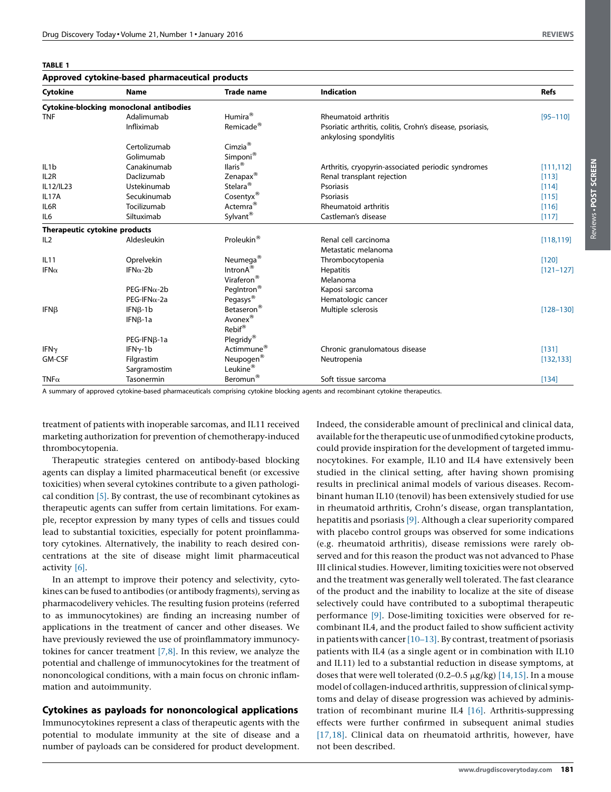#### <span id="page-1-0"></span>TABLE 1

| <b>Indication</b><br>Cytokine<br><b>Trade name</b><br><b>Name</b><br>Cytokine-blocking monoclonal antibodies<br>Humira <sup>®</sup><br>Adalimumab<br>Rheumatoid arthritis<br><b>TNF</b><br>Remicade <sup>®</sup><br>Infliximab<br>Psoriatic arthritis, colitis, Crohn's disease, psoriasis,<br>ankylosing spondylitis | <b>Refs</b><br>$[95 - 110]$ |
|-----------------------------------------------------------------------------------------------------------------------------------------------------------------------------------------------------------------------------------------------------------------------------------------------------------------------|-----------------------------|
|                                                                                                                                                                                                                                                                                                                       |                             |
|                                                                                                                                                                                                                                                                                                                       |                             |
|                                                                                                                                                                                                                                                                                                                       |                             |
|                                                                                                                                                                                                                                                                                                                       |                             |
| Cimzia <sup>®</sup><br>Certolizumab                                                                                                                                                                                                                                                                                   |                             |
| Simponi <sup>®</sup><br>Golimumab                                                                                                                                                                                                                                                                                     |                             |
| llaris <sup>®</sup><br>Canakinumab<br>IL <sub>1</sub> b<br>Arthritis, cryopyrin-associated periodic syndromes                                                                                                                                                                                                         | [111, 112]                  |
| Zenapax <sup>®</sup><br>IL <sub>2</sub> R<br>Daclizumab<br>Renal transplant rejection                                                                                                                                                                                                                                 | [113]                       |
| Stelara <sup>®</sup><br>IL12/IL23<br>Ustekinumab<br>Psoriasis                                                                                                                                                                                                                                                         | [114]                       |
| Cosentyx <sup>®</sup><br>Secukinumab<br>IL17A<br>Psoriasis                                                                                                                                                                                                                                                            | [115]                       |
| Actemra <sup>®</sup><br>Tocilizumab<br>Rheumatoid arthritis<br>IL6R                                                                                                                                                                                                                                                   | [116]                       |
| Sylvant®<br>Siltuximab<br>Castleman's disease<br>IL6                                                                                                                                                                                                                                                                  | [117]                       |
| Therapeutic cytokine products                                                                                                                                                                                                                                                                                         |                             |
| Proleukin <sup>®</sup><br>Renal cell carcinoma<br>IL <sub>2</sub><br>Aldesleukin                                                                                                                                                                                                                                      | [118, 119]                  |
| Metastatic melanoma                                                                                                                                                                                                                                                                                                   |                             |
| Neumega <sup>®</sup><br>IL11<br>Oprelvekin<br>Thrombocytopenia                                                                                                                                                                                                                                                        | $[120]$                     |
| Intron $A^{\circledR}$<br>IFN $\alpha$ -2b<br>IFN $\alpha$<br><b>Hepatitis</b>                                                                                                                                                                                                                                        | $[121 - 127]$               |
| Viraferon <sup>®</sup><br>Melanoma                                                                                                                                                                                                                                                                                    |                             |
| PegIntron <sup>®</sup><br>$PEG-IFNα-2b$<br>Kaposi sarcoma                                                                                                                                                                                                                                                             |                             |
| Pegasys <sup>®</sup><br>$PEG-IFNα-2a$<br>Hematologic cancer                                                                                                                                                                                                                                                           |                             |
| Betaseron <sup>®</sup><br>Multiple sclerosis<br>IFNB<br>$IFNB-1b$                                                                                                                                                                                                                                                     | $[128 - 130]$               |
| Avonex <sup>®</sup><br>$IFNB-1a$                                                                                                                                                                                                                                                                                      |                             |
| Rebif®                                                                                                                                                                                                                                                                                                                |                             |
| Plegridy <sup>®</sup><br>PEG-IFNB-1a                                                                                                                                                                                                                                                                                  |                             |
| Actimmune <sup>®</sup><br>IFN <sub>Y</sub><br>$IFNY-1b$<br>Chronic granulomatous disease                                                                                                                                                                                                                              | [131]                       |
| Neupogen <sup>®</sup><br>GM-CSF<br>Filgrastim<br>Neutropenia                                                                                                                                                                                                                                                          | [132, 133]                  |
| Leukine <sup>®</sup><br>Sargramostim                                                                                                                                                                                                                                                                                  |                             |
| Beromun <sup>®</sup><br>Tasonermin<br>$TNF\alpha$<br>Soft tissue sarcoma                                                                                                                                                                                                                                              | [134]                       |

A summary of approved cytokine-based pharmaceuticals comprising cytokine blocking agents and recombinant cytokine therapeutics.

treatment of patients with inoperable sarcomas, and IL11 received marketing authorization for prevention of chemotherapy-induced thrombocytopenia.

Therapeutic strategies centered on antibody-based blocking agents can display a limited pharmaceutical benefit (or excessive toxicities) when several cytokines contribute to a given pathological condition [\[5\]](#page-7-0). By contrast, the use of recombinant cytokines as therapeutic agents can suffer from certain limitations. For example, receptor expression by many types of cells and tissues could lead to substantial toxicities, especially for potent proinflammatory cytokines. Alternatively, the inability to reach desired concentrations at the site of disease might limit pharmaceutical activity [\[6\]](#page-7-0).

In an attempt to improve their potency and selectivity, cytokines can be fused to antibodies (or antibody fragments), serving as pharmacodelivery vehicles. The resulting fusion proteins (referred to as immunocytokines) are finding an increasing number of applications in the treatment of cancer and other diseases. We have previously reviewed the use of proinflammatory immunocytokines for cancer treatment  $[7,8]$ . In this review, we analyze the potential and challenge of immunocytokines for the treatment of nononcological conditions, with a main focus on chronic inflammation and autoimmunity.

## Cytokines as payloads for nononcological applications

Immunocytokines represent a class of therapeutic agents with the potential to modulate immunity at the site of disease and a number of payloads can be considered for product development.

Indeed, the considerable amount of preclinical and clinical data, available for the therapeutic use of unmodified cytokine products, could provide inspiration for the development of targeted immunocytokines. For example, IL10 and IL4 have extensively been studied in the clinical setting, after having shown promising results in preclinical animal models of various diseases. Recombinant human IL10 (tenovil) has been extensively studied for use in rheumatoid arthritis, Crohn's disease, organ transplantation, hepatitis and psoriasis [\[9\]](#page-7-0). Although a clear superiority compared with placebo control groups was observed for some indications (e.g. rheumatoid arthritis), disease remissions were rarely observed and for this reason the product was not advanced to Phase III clinical studies. However, limiting toxicities were not observed and the treatment was generally well tolerated. The fast clearance of the product and the inability to localize at the site of disease selectively could have contributed to a suboptimal therapeutic performance [\[9\].](#page-7-0) Dose-limiting toxicities were observed for recombinant IL4, and the product failed to show sufficient activity in patients with cancer  $[10-13]$ . By contrast, treatment of psoriasis patients with IL4 (as a single agent or in combination with IL10 and IL11) led to a substantial reduction in disease symptoms, at doses that were well tolerated (0.2–0.5  $\mu$ g/kg) [\[14,15\].](#page-7-0) In a mouse model of collagen-induced arthritis, suppression of clinical symptoms and delay of disease progression was achieved by administration of recombinant murine IL4 [\[16\].](#page-7-0) Arthritis-suppressing effects were further confirmed in subsequent animal studies [\[17,18\].](#page-7-0) Clinical data on rheumatoid arthritis, however, have not been described.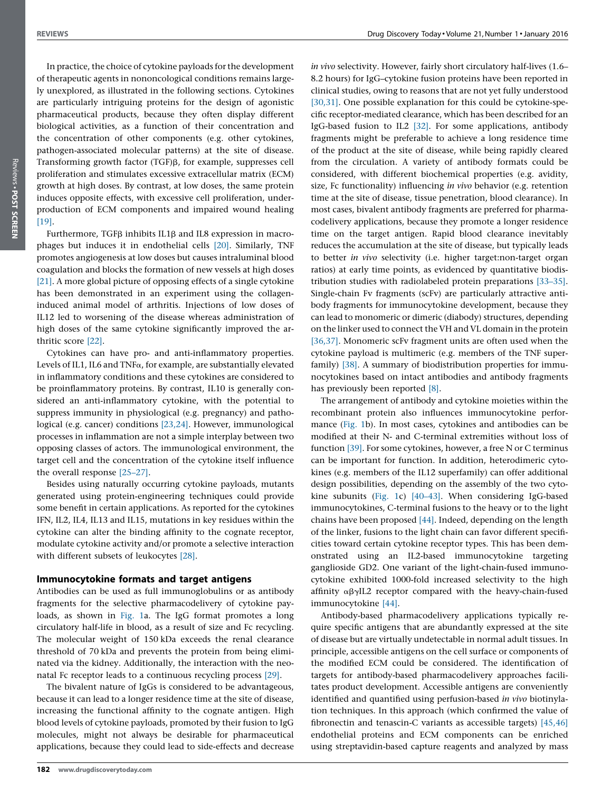In practice, the choice of cytokine payloads forthe development of therapeutic agents in nononcological conditions remains largely unexplored, as illustrated in the following sections. Cytokines are particularly intriguing proteins for the design of agonistic pharmaceutical products, because they often display different biological activities, as a function of their concentration and the concentration of other components (e.g. other cytokines, pathogen-associated molecular patterns) at the site of disease. Transforming growth factor (TGF) $\beta$ , for example, suppresses cell proliferation and stimulates excessive extracellular matrix (ECM) growth at high doses. By contrast, at low doses, the same protein induces opposite effects, with excessive cell proliferation, underproduction of ECM components and impaired wound healing [\[19\]](#page-7-0).

Furthermore, TGF<sub>B</sub> inhibits IL1<sub>B</sub> and IL8 expression in macrophages but induces it in endothelial cells [\[20\].](#page-7-0) Similarly, TNF promotes angiogenesis at low doses but causes intraluminal blood coagulation and blocks the formation of new vessels at high doses [\[21\]](#page-7-0). A more global picture of opposing effects of a single cytokine has been demonstrated in an experiment using the collageninduced animal model of arthritis. Injections of low doses of IL12 led to worsening of the disease whereas administration of high doses of the same cytokine significantly improved the arthritic score [\[22\].](#page-7-0)

Cytokines can have pro- and anti-inflammatory properties. Levels of IL1, IL6 and TNFa, for example, are substantially elevated in inflammatory conditions and these cytokines are considered to be proinflammatory proteins. By contrast, IL10 is generally considered an anti-inflammatory cytokine, with the potential to suppress immunity in physiological (e.g. pregnancy) and pathological (e.g. cancer) conditions [\[23,24\]](#page-7-0). However, immunological processes in inflammation are not a simple interplay between two opposing classes of actors. The immunological environment, the target cell and the concentration of the cytokine itself influence the overall response [\[25–27\].](#page-7-0)

Besides using naturally occurring cytokine payloads, mutants generated using protein-engineering techniques could provide some benefit in certain applications. As reported for the cytokines IFN, IL2, IL4, IL13 and IL15, mutations in key residues within the cytokine can alter the binding affinity to the cognate receptor, modulate cytokine activity and/or promote a selective interaction with different subsets of leukocytes [\[28\].](#page-7-0)

#### Immunocytokine formats and target antigens

Antibodies can be used as full immunoglobulins or as antibody fragments for the selective pharmacodelivery of cytokine payloads, as shown in [Fig.](#page-3-0) 1a. The IgG format promotes a long circulatory half-life in blood, as a result of size and Fc recycling. The molecular weight of 150 kDa exceeds the renal clearance threshold of 70 kDa and prevents the protein from being eliminated via the kidney. Additionally, the interaction with the neonatal Fc receptor leads to a continuous recycling process [\[29\].](#page-7-0)

The bivalent nature of IgGs is considered to be advantageous, because it can lead to a longer residence time at the site of disease, increasing the functional affinity to the cognate antigen. High blood levels of cytokine payloads, promoted by their fusion to IgG molecules, might not always be desirable for pharmaceutical applications, because they could lead to side-effects and decrease 8.2 hours) for IgG–cytokine fusion proteins have been reported in clinical studies, owing to reasons that are not yet fully understood [\[30,31\]](#page-7-0). One possible explanation for this could be cytokine-specific receptor-mediated clearance, which has been described for an IgG-based fusion to IL2 [\[32\].](#page-7-0) For some applications, antibody fragments might be preferable to achieve a long residence time of the product at the site of disease, while being rapidly cleared from the circulation. A variety of antibody formats could be considered, with different biochemical properties (e.g. avidity, size, Fc functionality) influencing in vivo behavior (e.g. retention time at the site of disease, tissue penetration, blood clearance). In most cases, bivalent antibody fragments are preferred for pharmacodelivery applications, because they promote a longer residence time on the target antigen. Rapid blood clearance inevitably reduces the accumulation at the site of disease, but typically leads to better in vivo selectivity (i.e. higher target:non-target organ ratios) at early time points, as evidenced by quantitative biodistribution studies with radiolabeled protein preparations [\[33–35\]](#page-7-0). Single-chain Fv fragments (scFv) are particularly attractive antibody fragments for immunocytokine development, because they can lead to monomeric or dimeric (diabody) structures, depending on the linker used to connect the VH and VL domain in the protein [\[36,37\]](#page-7-0). Monomeric scFv fragment units are often used when the cytokine payload is multimeric (e.g. members of the TNF superfamily) [\[38\]](#page-7-0). A summary of biodistribution properties for immunocytokines based on intact antibodies and antibody fragments has previously been reported [\[8\]](#page-7-0).

in vivo selectivity. However, fairly short circulatory half-lives (1.6–

The arrangement of antibody and cytokine moieties within the recombinant protein also influences immunocytokine performance [\(Fig.](#page-3-0) 1b). In most cases, cytokines and antibodies can be modified at their N- and C-terminal extremities without loss of function [\[39\]](#page-7-0). For some cytokines, however, a free N or C terminus can be important for function. In addition, heterodimeric cytokines (e.g. members of the IL12 superfamily) can offer additional design possibilities, depending on the assembly of the two cytokine subunits [\(Fig.](#page-3-0) 1c) [\[40–43\].](#page-7-0) When considering IgG-based immunocytokines, C-terminal fusions to the heavy or to the light chains have been proposed [\[44\]](#page-7-0). Indeed, depending on the length of the linker, fusions to the light chain can favor different specificities toward certain cytokine receptor types. This has been demonstrated using an IL2-based immunocytokine targeting ganglioside GD2. One variant of the light-chain-fused immunocytokine exhibited 1000-fold increased selectivity to the high affinity  $\alpha\beta\gamma$ IL2 receptor compared with the heavy-chain-fused immunocytokine [\[44\].](#page-7-0)

Antibody-based pharmacodelivery applications typically require specific antigens that are abundantly expressed at the site of disease but are virtually undetectable in normal adult tissues. In principle, accessible antigens on the cell surface or components of the modified ECM could be considered. The identification of targets for antibody-based pharmacodelivery approaches facilitates product development. Accessible antigens are conveniently identified and quantified using perfusion-based in vivo biotinylation techniques. In this approach (which confirmed the value of fibronectin and tenascin-C variants as accessible targets) [\[45,46\]](#page-7-0) endothelial proteins and ECM components can be enriched using streptavidin-based capture reagents and analyzed by mass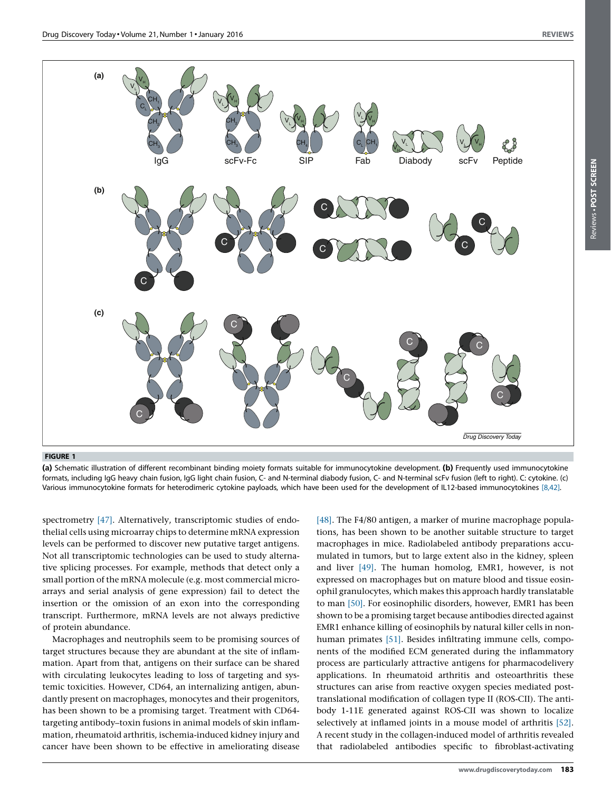Reviews -

 POST SCREENReviews . POST SCREEN

<span id="page-3-0"></span>

#### FIGURE 1

(a) Schematic illustration of different recombinant binding moiety formats suitable for immunocytokine development. (b) Frequently used immunocytokine formats, including IgG heavy chain fusion, IgG light chain fusion, C- and N-terminal diabody fusion, C- and N-terminal scFv fusion (left to right). C: cytokine. (c) Various immunocytokine formats for heterodimeric cytokine payloads, which have been used for the development of IL12-based immunocytokines [\[8,42\]](#page-7-0).

spectrometry [\[47\].](#page-7-0) Alternatively, transcriptomic studies of endothelial cells using microarray chips to determine mRNA expression levels can be performed to discover new putative target antigens. Not all transcriptomic technologies can be used to study alternative splicing processes. For example, methods that detect only a small portion of the mRNA molecule (e.g. most commercial microarrays and serial analysis of gene expression) fail to detect the insertion or the omission of an exon into the corresponding transcript. Furthermore, mRNA levels are not always predictive of protein abundance.

Macrophages and neutrophils seem to be promising sources of target structures because they are abundant at the site of inflammation. Apart from that, antigens on their surface can be shared with circulating leukocytes leading to loss of targeting and systemic toxicities. However, CD64, an internalizing antigen, abundantly present on macrophages, monocytes and their progenitors, has been shown to be a promising target. Treatment with CD64 targeting antibody–toxin fusions in animal models of skin inflammation, rheumatoid arthritis, ischemia-induced kidney injury and cancer have been shown to be effective in ameliorating disease

[\[48\].](#page-7-0) The F4/80 antigen, a marker of murine macrophage populations, has been shown to be another suitable structure to target macrophages in mice. Radiolabeled antibody preparations accumulated in tumors, but to large extent also in the kidney, spleen and liver [\[49\]](#page-7-0). The human homolog, EMR1, however, is not expressed on macrophages but on mature blood and tissue eosinophil granulocytes, which makes this approach hardly translatable to man [\[50\]](#page-7-0). For eosinophilic disorders, however, EMR1 has been shown to be a promising target because antibodies directed against EMR1 enhance killing of eosinophils by natural killer cells in nonhuman primates [\[51\]](#page-7-0). Besides infiltrating immune cells, components of the modified ECM generated during the inflammatory process are particularly attractive antigens for pharmacodelivery applications. In rheumatoid arthritis and osteoarthritis these structures can arise from reactive oxygen species mediated posttranslational modification of collagen type II (ROS-CII). The antibody 1-11E generated against ROS-CII was shown to localize selectively at inflamed joints in a mouse model of arthritis [\[52\].](#page-7-0) A recent study in the collagen-induced model of arthritis revealed that radiolabeled antibodies specific to fibroblast-activating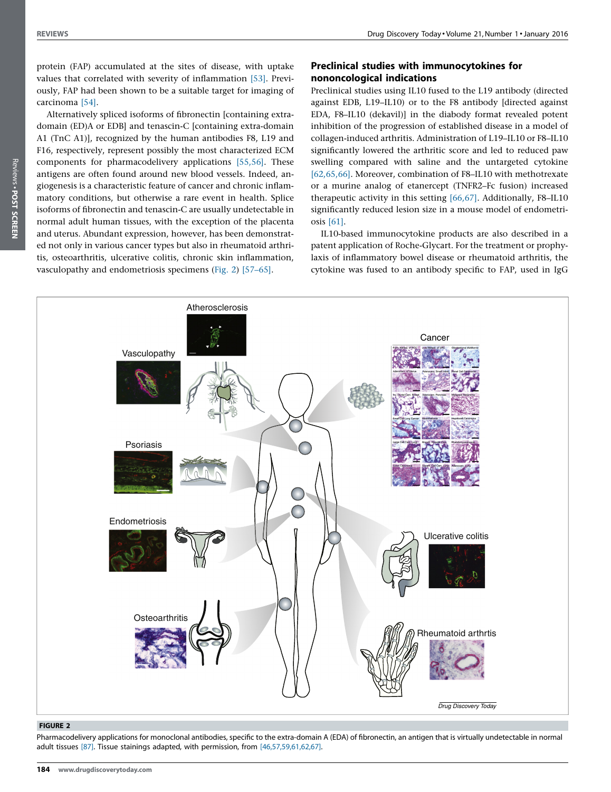protein (FAP) accumulated at the sites of disease, with uptake values that correlated with severity of inflammation [\[53\].](#page-7-0) Previously, FAP had been shown to be a suitable target for imaging of carcinoma [\[54\]](#page-7-0).

Alternatively spliced isoforms of fibronectin [containing extradomain (ED)A or EDB] and tenascin-C [containing extra-domain A1 (TnC A1)], recognized by the human antibodies F8, L19 and F16, respectively, represent possibly the most characterized ECM components for pharmacodelivery applications [\[55,56\].](#page-7-0) These antigens are often found around new blood vessels. Indeed, angiogenesis is a characteristic feature of cancer and chronic inflammatory conditions, but otherwise a rare event in health. Splice isoforms of fibronectin and tenascin-C are usually undetectable in normal adult human tissues, with the exception of the placenta and uterus. Abundant expression, however, has been demonstrated not only in various cancer types but also in rheumatoid arthritis, osteoarthritis, ulcerative colitis, chronic skin inflammation, vasculopathy and endometriosis specimens (Fig. 2) [\[57–65\]](#page-8-0).

## Preclinical studies with immunocytokines for nononcological indications

Preclinical studies using IL10 fused to the L19 antibody (directed against EDB, L19–IL10) or to the F8 antibody [directed against EDA, F8–IL10 (dekavil)] in the diabody format revealed potent inhibition of the progression of established disease in a model of collagen-induced arthritis. Administration of L19–IL10 or F8–IL10 significantly lowered the arthritic score and led to reduced paw swelling compared with saline and the untargeted cytokine [\[62,65,66\]](#page-8-0). Moreover, combination of F8–IL10 with methotrexate or a murine analog of etanercept (TNFR2–Fc fusion) increased therapeutic activity in this setting [\[66,67\]](#page-8-0). Additionally, F8–IL10 significantly reduced lesion size in a mouse model of endometriosis [\[61\].](#page-8-0)

IL10-based immunocytokine products are also described in a patent application of Roche-Glycart. For the treatment or prophylaxis of inflammatory bowel disease or rheumatoid arthritis, the cytokine was fused to an antibody specific to FAP, used in IgG



#### FIGURE 2

Pharmacodelivery applications for monoclonal antibodies, specific to the extra-domain A (EDA) of fibronectin, an antigen that is virtually undetectable in normal adult tissues [\[87\].](#page-8-0) Tissue stainings adapted, with permission, from [\[46,57,59,61,62,67\].](#page-7-0)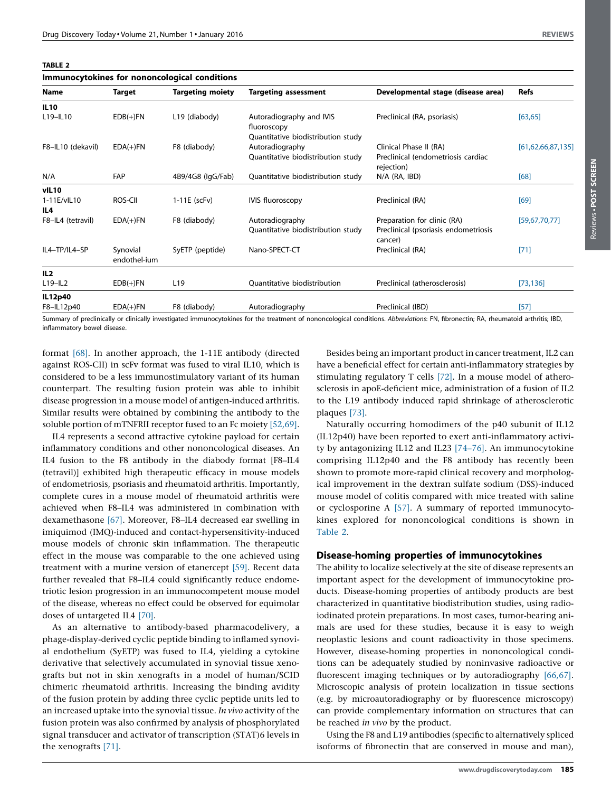TABLE 2

| Immunocytokines for nononcological conditions |                          |                         |                                                       |                                                                                |                       |  |
|-----------------------------------------------|--------------------------|-------------------------|-------------------------------------------------------|--------------------------------------------------------------------------------|-----------------------|--|
| <b>Name</b>                                   | <b>Target</b>            | <b>Targeting moiety</b> | <b>Targeting assessment</b>                           | Developmental stage (disease area)                                             | <b>Refs</b>           |  |
| <b>IL10</b>                                   |                          |                         |                                                       |                                                                                |                       |  |
| L19-IL10                                      | $EDB(+)FN$               | L19 (diabody)           | Autoradiography and IVIS<br>fluoroscopy               | Preclinical (RA, psoriasis)                                                    | [63, 65]              |  |
|                                               |                          |                         | Quantitative biodistribution study                    |                                                                                |                       |  |
| F8-IL10 (dekavil)                             | $EDA(+)FN$               | F8 (diabody)            | Autoradiography<br>Quantitative biodistribution study | Clinical Phase II (RA)<br>Preclinical (endometriosis cardiac<br>rejection)     | [61, 62, 66, 87, 135] |  |
| N/A                                           | <b>FAP</b>               | 4B9/4G8 (IgG/Fab)       | Quantitative biodistribution study                    | $N/A$ (RA, IBD)                                                                | [68]                  |  |
| vIL10                                         |                          |                         |                                                       |                                                                                |                       |  |
| 1-11E/vIL10<br>IL <sub>4</sub>                | ROS-CII                  | $1-11E$ (scFv)          | <b>IVIS fluoroscopy</b>                               | Preclinical (RA)                                                               | [69]                  |  |
| F8-IL4 (tetravil)                             | $EDA(+)FN$               | F8 (diabody)            | Autoradiography<br>Quantitative biodistribution study | Preparation for clinic (RA)<br>Preclinical (psoriasis endometriosis<br>cancer) | [59,67,70,77]         |  |
| IL4-TP/IL4-SP                                 | Synovial<br>endothel-jum | SyETP (peptide)         | Nano-SPECT-CT                                         | Preclinical (RA)                                                               | $[71]$                |  |
| IL2                                           |                          |                         |                                                       |                                                                                |                       |  |
| $L19 - IL2$                                   | $EDB(+)FN$               | L <sub>19</sub>         | Ouantitative biodistribution                          | Preclinical (atherosclerosis)                                                  | [73, 136]             |  |
| IL12p40                                       |                          |                         |                                                       |                                                                                |                       |  |
| F8-IL12p40                                    | $EDA(+)FN$               | F8 (diabody)            | Autoradiography                                       | Preclinical (IBD)                                                              | $[57]$                |  |

Summary of preclinically or clinically investigated immunocytokines for the treatment of nononcological conditions. Abbreviations: FN, fibronectin; RA, rheumatoid arthritis; IBD, inflammatory bowel disease.

format [\[68\]](#page-8-0). In another approach, the 1-11E antibody (directed against ROS-CII) in scFv format was fused to viral IL10, which is considered to be a less immunostimulatory variant of its human counterpart. The resulting fusion protein was able to inhibit disease progression in a mouse model of antigen-induced arthritis. Similar results were obtained by combining the antibody to the soluble portion of mTNFRII receptor fused to an Fc moiety [\[52,69\].](#page-7-0)

IL4 represents a second attractive cytokine payload for certain inflammatory conditions and other nononcological diseases. An IL4 fusion to the F8 antibody in the diabody format [F8–IL4 (tetravil)] exhibited high therapeutic efficacy in mouse models of endometriosis, psoriasis and rheumatoid arthritis. Importantly, complete cures in a mouse model of rheumatoid arthritis were achieved when F8–IL4 was administered in combination with dexamethasone [\[67\].](#page-8-0) Moreover, F8–IL4 decreased ear swelling in imiquimod (IMQ)-induced and contact-hypersensitivity-induced mouse models of chronic skin inflammation. The therapeutic effect in the mouse was comparable to the one achieved using treatment with a murine version of etanercept [\[59\]](#page-8-0). Recent data further revealed that F8–IL4 could significantly reduce endometriotic lesion progression in an immunocompetent mouse model of the disease, whereas no effect could be observed for equimolar doses of untargeted IL4 [\[70\].](#page-8-0)

As an alternative to antibody-based pharmacodelivery, a phage-display-derived cyclic peptide binding to inflamed synovial endothelium (SyETP) was fused to IL4, yielding a cytokine derivative that selectively accumulated in synovial tissue xenografts but not in skin xenografts in a model of human/SCID chimeric rheumatoid arthritis. Increasing the binding avidity of the fusion protein by adding three cyclic peptide units led to an increased uptake into the synovial tissue. In vivo activity of the fusion protein was also confirmed by analysis of phosphorylated signal transducer and activator of transcription (STAT)6 levels in the xenografts [\[71\].](#page-8-0)

Besides being an important product in cancer treatment, IL2 can have a beneficial effect for certain anti-inflammatory strategies by stimulating regulatory T cells [\[72\].](#page-8-0) In a mouse model of atherosclerosis in apoE-deficient mice, administration of a fusion of IL2 to the L19 antibody induced rapid shrinkage of atherosclerotic plaques [\[73\].](#page-8-0)

Naturally occurring homodimers of the p40 subunit of IL12 (IL12p40) have been reported to exert anti-inflammatory activity by antagonizing IL12 and IL23 [\[74–76\].](#page-8-0) An immunocytokine comprising IL12p40 and the F8 antibody has recently been shown to promote more-rapid clinical recovery and morphological improvement in the dextran sulfate sodium (DSS)-induced mouse model of colitis compared with mice treated with saline or cyclosporine A [\[57\]](#page-8-0). A summary of reported immunocytokines explored for nononcological conditions is shown in Table 2.

### Disease-homing properties of immunocytokines

The ability to localize selectively at the site of disease represents an important aspect for the development of immunocytokine products. Disease-homing properties of antibody products are best characterized in quantitative biodistribution studies, using radioiodinated protein preparations. In most cases, tumor-bearing animals are used for these studies, because it is easy to weigh neoplastic lesions and count radioactivity in those specimens. However, disease-homing properties in nononcological conditions can be adequately studied by noninvasive radioactive or fluorescent imaging techniques or by autoradiography [\[66,67\].](#page-8-0) Microscopic analysis of protein localization in tissue sections (e.g. by microautoradiography or by fluorescence microscopy) can provide complementary information on structures that can be reached in vivo by the product.

Using the F8 and L19 antibodies (specific to alternatively spliced isoforms of fibronectin that are conserved in mouse and man),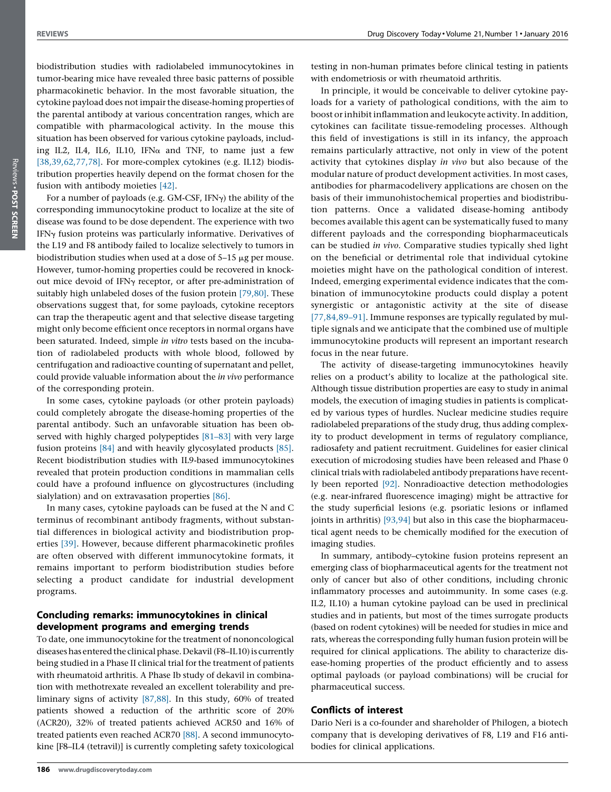biodistribution studies with radiolabeled immunocytokines in tumor-bearing mice have revealed three basic patterns of possible pharmacokinetic behavior. In the most favorable situation, the cytokine payload does not impair the disease-homing properties of the parental antibody at various concentration ranges, which are compatible with pharmacological activity. In the mouse this situation has been observed for various cytokine payloads, including IL2, IL4, IL6, IL10, IFN $\alpha$  and TNF, to name just a few [\[38,39,62,77,78\].](#page-7-0) For more-complex cytokines (e.g. IL12) biodistribution properties heavily depend on the format chosen for the fusion with antibody moieties [\[42\]](#page-7-0).

For a number of payloads (e.g.  $GM$ -CSF, IFN $\gamma$ ) the ability of the corresponding immunocytokine product to localize at the site of disease was found to be dose dependent. The experience with two IFN $\gamma$  fusion proteins was particularly informative. Derivatives of the L19 and F8 antibody failed to localize selectively to tumors in biodistribution studies when used at a dose of  $5-15 \mu$ g per mouse. However, tumor-homing properties could be recovered in knockout mice devoid of IFN $\gamma$  receptor, or after pre-administration of suitably high unlabeled doses of the fusion protein [\[79,80\]](#page-8-0). These observations suggest that, for some payloads, cytokine receptors can trap the therapeutic agent and that selective disease targeting might only become efficient once receptors in normal organs have been saturated. Indeed, simple in vitro tests based on the incubation of radiolabeled products with whole blood, followed by centrifugation and radioactive counting of supernatant and pellet, could provide valuable information about the in vivo performance of the corresponding protein.

In some cases, cytokine payloads (or other protein payloads) could completely abrogate the disease-homing properties of the parental antibody. Such an unfavorable situation has been observed with highly charged polypeptides [\[81–83\]](#page-8-0) with very large fusion proteins [\[84\]](#page-8-0) and with heavily glycosylated products [\[85\]](#page-8-0). Recent biodistribution studies with IL9-based immunocytokines revealed that protein production conditions in mammalian cells could have a profound influence on glycostructures (including sialylation) and on extravasation properties [\[86\].](#page-8-0)

In many cases, cytokine payloads can be fused at the N and C terminus of recombinant antibody fragments, without substantial differences in biological activity and biodistribution properties [\[39\].](#page-7-0) However, because different pharmacokinetic profiles are often observed with different immunocytokine formats, it remains important to perform biodistribution studies before selecting a product candidate for industrial development programs.

## Concluding remarks: immunocytokines in clinical development programs and emerging trends

To date, one immunocytokine for the treatment of nononcological diseases has entered the clinical phase. Dekavil (F8-IL10) is currently being studied in a Phase II clinical trial for the treatment of patients with rheumatoid arthritis. A Phase Ib study of dekavil in combination with methotrexate revealed an excellent tolerability and preliminary signs of activity [\[87,88\]](#page-8-0). In this study, 60% of treated patients showed a reduction of the arthritic score of 20% (ACR20), 32% of treated patients achieved ACR50 and 16% of treated patients even reached ACR70 [\[88\]](#page-8-0). A second immunocytokine [F8–IL4 (tetravil)] is currently completing safety toxicological

testing in non-human primates before clinical testing in patients with endometriosis or with rheumatoid arthritis.

In principle, it would be conceivable to deliver cytokine payloads for a variety of pathological conditions, with the aim to boost or inhibit inflammation and leukocyte activity. In addition, cytokines can facilitate tissue-remodeling processes. Although this field of investigations is still in its infancy, the approach remains particularly attractive, not only in view of the potent activity that cytokines display in vivo but also because of the modular nature of product development activities. In most cases, antibodies for pharmacodelivery applications are chosen on the basis of their immunohistochemical properties and biodistribution patterns. Once a validated disease-homing antibody becomes available this agent can be systematically fused to many different payloads and the corresponding biopharmaceuticals can be studied in vivo. Comparative studies typically shed light on the beneficial or detrimental role that individual cytokine moieties might have on the pathological condition of interest. Indeed, emerging experimental evidence indicates that the combination of immunocytokine products could display a potent synergistic or antagonistic activity at the site of disease [\[77,84,89–91\].](#page-8-0) Immune responses are typically regulated by multiple signals and we anticipate that the combined use of multiple immunocytokine products will represent an important research focus in the near future.

The activity of disease-targeting immunocytokines heavily relies on a product's ability to localize at the pathological site. Although tissue distribution properties are easy to study in animal models, the execution of imaging studies in patients is complicated by various types of hurdles. Nuclear medicine studies require radiolabeled preparations of the study drug, thus adding complexity to product development in terms of regulatory compliance, radiosafety and patient recruitment. Guidelines for easier clinical execution of microdosing studies have been released and Phase 0 clinical trials with radiolabeled antibody preparations have recently been reported [\[92\].](#page-8-0) Nonradioactive detection methodologies (e.g. near-infrared fluorescence imaging) might be attractive for the study superficial lesions (e.g. psoriatic lesions or inflamed joints in arthritis) [\[93,94\]](#page-8-0) but also in this case the biopharmaceutical agent needs to be chemically modified for the execution of imaging studies.

In summary, antibody–cytokine fusion proteins represent an emerging class of biopharmaceutical agents for the treatment not only of cancer but also of other conditions, including chronic inflammatory processes and autoimmunity. In some cases (e.g. IL2, IL10) a human cytokine payload can be used in preclinical studies and in patients, but most of the times surrogate products (based on rodent cytokines) will be needed for studies in mice and rats, whereas the corresponding fully human fusion protein will be required for clinical applications. The ability to characterize disease-homing properties of the product efficiently and to assess optimal payloads (or payload combinations) will be crucial for pharmaceutical success.

## Conflicts of interest

Dario Neri is a co-founder and shareholder of Philogen, a biotech company that is developing derivatives of F8, L19 and F16 antibodies for clinical applications.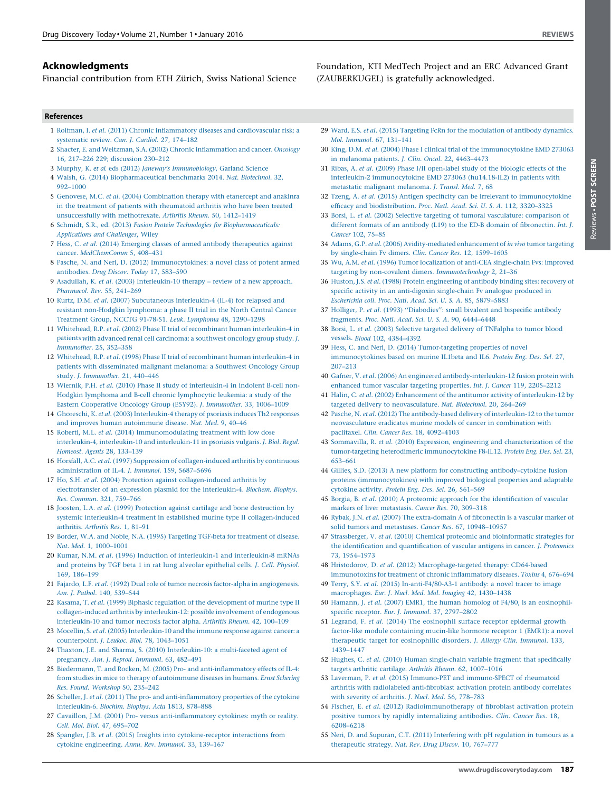## <span id="page-7-0"></span>Acknowledgments

Financial contribution from ETH Zürich, Swiss National Science

References

- 1 Roifman, I. et al. (2011) Chronic inflammatory diseases and [cardiovascular](http://refhub.elsevier.com/S1359-6446(15)00389-X/sbref0685) risk: a [systematic](http://refhub.elsevier.com/S1359-6446(15)00389-X/sbref0685) review. Can. J. Cardiol. 27, 174–182
- 2 Shacter, E. and Weitzman, S.A. (2002) Chronic [inflammation](http://refhub.elsevier.com/S1359-6446(15)00389-X/sbref0690) and cancer. Oncology 16, 217–226 229; [discussion](http://refhub.elsevier.com/S1359-6446(15)00389-X/sbref0690) 230–212
- 3 [Murphy,](http://refhub.elsevier.com/S1359-6446(15)00389-X/sbref0695) K. et al. eds (2012) Janeway's [Immunobiology](http://refhub.elsevier.com/S1359-6446(15)00389-X/sbref0695), Garland Science
- 4 Walsh, G. (2014) [Biopharmaceutical](http://refhub.elsevier.com/S1359-6446(15)00389-X/sbref0700) benchmarks 2014. Nat. Biotechnol. 32, [992–1000](http://refhub.elsevier.com/S1359-6446(15)00389-X/sbref0700)
- 5 Genovese, M.C. et al. (2004) [Combination](http://refhub.elsevier.com/S1359-6446(15)00389-X/sbref0705) therapy with etanercept and anakinra in the treatment of patients with [rheumatoid](http://refhub.elsevier.com/S1359-6446(15)00389-X/sbref0705) arthritis who have been treated [unsuccessfully](http://refhub.elsevier.com/S1359-6446(15)00389-X/sbref0705) with methotrexate. Arthritis Rheum. 50, 1412–1419
- 6 [Schmidt,](http://refhub.elsevier.com/S1359-6446(15)00389-X/sbref0710) S.R., ed. (2013) Fusion Protein Technologies for [Biopharmaceuticals:](http://refhub.elsevier.com/S1359-6446(15)00389-X/sbref0710) [Applications](http://refhub.elsevier.com/S1359-6446(15)00389-X/sbref0710) and Challenges, Wiley
- 7 Hess, C. et al. (2014) Emerging classes of armed antibody [therapeutics](http://refhub.elsevier.com/S1359-6446(15)00389-X/sbref0715) against cancer. [MedChemComm](http://refhub.elsevier.com/S1359-6446(15)00389-X/sbref0715) 5, 408–431
- 8 Pasche, N. and Neri, D. (2012) [Immunocytokines:](http://refhub.elsevier.com/S1359-6446(15)00389-X/sbref0720) a novel class of potent armed [antibodies.](http://refhub.elsevier.com/S1359-6446(15)00389-X/sbref0720) Drug Discov. Today 17, 583–590
- 9 Asadullah, K. et al. (2003) [Interleukin-10](http://refhub.elsevier.com/S1359-6446(15)00389-X/sbref0725) therapy review of a new approach. [Pharmacol.](http://refhub.elsevier.com/S1359-6446(15)00389-X/sbref0725) Rev. 55, 241–269
- 10 Kurtz, D.M. et al. (2007) [Subcutaneous](http://refhub.elsevier.com/S1359-6446(15)00389-X/sbref0730) interleukin-4 (IL-4) for relapsed and resistant [non-Hodgkin](http://refhub.elsevier.com/S1359-6446(15)00389-X/sbref0730) lymphoma: a phase II trial in the North Central Cancer Treatment Group, NCCTG 91-78-51. Leuk. Lymphoma 48, [1290–1298](http://refhub.elsevier.com/S1359-6446(15)00389-X/sbref0730)
- 11 Whitehead, R.P. et al. (2002) Phase II trial of recombinant human [interleukin-4](http://refhub.elsevier.com/S1359-6446(15)00389-X/sbref0735) in patients with advanced renal cell [carcinoma:](http://refhub.elsevier.com/S1359-6446(15)00389-X/sbref0735) a southwest oncology group study. J. [Immunother.](http://refhub.elsevier.com/S1359-6446(15)00389-X/sbref0735) 25, 352–358
- 12 Whitehead, R.P. et al. (1998) Phase II trial of recombinant human [interleukin-4](http://refhub.elsevier.com/S1359-6446(15)00389-X/sbref0740) in patients with [disseminated](http://refhub.elsevier.com/S1359-6446(15)00389-X/sbref0740) malignant melanoma: a Southwest Oncology Group study. J. [Immunother.](http://refhub.elsevier.com/S1359-6446(15)00389-X/sbref0740) 21, 440–446
- 13 Wiernik, P.H. et al. (2010) Phase II study of [interleukin-4](http://refhub.elsevier.com/S1359-6446(15)00389-X/sbref0745) in indolent B-cell non-Hodgkin lymphoma and B-cell chronic [lymphocytic](http://refhub.elsevier.com/S1359-6446(15)00389-X/sbref0745) leukemia: a study of the Eastern Cooperative Oncology Group (E5Y92). J. [Immunother.](http://refhub.elsevier.com/S1359-6446(15)00389-X/sbref0745) 33, 1006–1009
- 14 Ghoreschi, K. et al. (2003) [Interleukin-4](http://refhub.elsevier.com/S1359-6446(15)00389-X/sbref0750) therapy of psoriasis induces Th2 responses and improves human [autoimmune](http://refhub.elsevier.com/S1359-6446(15)00389-X/sbref0750) disease. Nat. Med. 9, 40–46
- 15 Roberti, M.L. et al. (2014) [Immunomodulating](http://refhub.elsevier.com/S1359-6446(15)00389-X/sbref0755) treatment with low dose interleukin-4, [interleukin-10](http://refhub.elsevier.com/S1359-6446(15)00389-X/sbref0755) and interleukin-11 in psoriasis vulgaris. J. Biol. Regul. [Homeost.](http://refhub.elsevier.com/S1359-6446(15)00389-X/sbref0755) Agents 28, 133–139
- 16 Horsfall, A.C. et al. (1997) Suppression of [collagen-induced](http://refhub.elsevier.com/S1359-6446(15)00389-X/sbref0760) arthritis by continuous [administration](http://refhub.elsevier.com/S1359-6446(15)00389-X/sbref0760) of IL-4. J. Immunol. 159, 5687–5696
- 17 Ho, S.H. et al. (2004) Protection against [collagen-induced](http://refhub.elsevier.com/S1359-6446(15)00389-X/sbref0765) arthritis by [electrotransfer](http://refhub.elsevier.com/S1359-6446(15)00389-X/sbref0765) of an expression plasmid for the interleukin-4. Biochem. Biophys. Res. [Commun.](http://refhub.elsevier.com/S1359-6446(15)00389-X/sbref0765) 321, 759–766
- 18 Joosten, L.A. et al. (1999) Protection against cartilage and bone [destruction](http://refhub.elsevier.com/S1359-6446(15)00389-X/sbref0770) by systemic interleukin-4 treatment in established murine type II [collagen-induced](http://refhub.elsevier.com/S1359-6446(15)00389-X/sbref0770) [arthritis.](http://refhub.elsevier.com/S1359-6446(15)00389-X/sbref0770) Arthritis Res. 1, 81–91
- 19 Border, W.A. and Noble, N.A. (1995) Targeting TGF-beta for [treatment](http://refhub.elsevier.com/S1359-6446(15)00389-X/sbref0775) of disease. Nat. Med. 1, [1000–1001](http://refhub.elsevier.com/S1359-6446(15)00389-X/sbref0775)
- 20 Kumar, N.M. et al. (1996) Induction of [interleukin-1](http://refhub.elsevier.com/S1359-6446(15)00389-X/sbref0780) and interleukin-8 mRNAs and proteins by TGF beta 1 in rat lung alveolar [epithelial](http://refhub.elsevier.com/S1359-6446(15)00389-X/sbref0780) cells. J. Cell. Physiol. 169, [186–199](http://refhub.elsevier.com/S1359-6446(15)00389-X/sbref0780)
- 21 Fajardo, L.F. et al. (1992) Dual role of tumor necrosis factor-alpha in [angiogenesis.](http://refhub.elsevier.com/S1359-6446(15)00389-X/sbref0785) Am. J. Pathol. 140, [539–544](http://refhub.elsevier.com/S1359-6446(15)00389-X/sbref0785)
- 22 Kasama, T. et al. (1999) Biphasic regulation of the [development](http://refhub.elsevier.com/S1359-6446(15)00389-X/sbref0790) of murine type II [collagen-induced](http://refhub.elsevier.com/S1359-6446(15)00389-X/sbref0790) arthritis by interleukin-12: possible involvement of endogenous [interleukin-10](http://refhub.elsevier.com/S1359-6446(15)00389-X/sbref0790) and tumor necrosis factor alpha. Arthritis Rheum. 42, 100–109
- 23 Mocellin, S. et al. (2005) [Interleukin-10](http://refhub.elsevier.com/S1359-6446(15)00389-X/sbref0795) and the immune response against cancer: a [counterpoint.](http://refhub.elsevier.com/S1359-6446(15)00389-X/sbref0795) J. Leukoc. Biol. 78, 1043–1051
- 24 Thaxton, J.E. and Sharma, S. (2010) [Interleukin-10:](http://refhub.elsevier.com/S1359-6446(15)00389-X/sbref0800) a multi-faceted agent of [pregnancy.](http://refhub.elsevier.com/S1359-6446(15)00389-X/sbref0800) Am. J. Reprod. Immunol. 63, 482–491
- 25 Biedermann, T. and Rocken, M. (2005) Pro- and [anti-inflammatory](http://refhub.elsevier.com/S1359-6446(15)00389-X/sbref0805) effects of IL-4: from studies in mice to therapy of [autoimmune](http://refhub.elsevier.com/S1359-6446(15)00389-X/sbref0805) diseases in humans. Ernst Schering Res. Found. [Workshop](http://refhub.elsevier.com/S1359-6446(15)00389-X/sbref0805) 50, 235–242
- 26 Scheller, J. et al. (2011) The pro- and [anti-inflammatory](http://refhub.elsevier.com/S1359-6446(15)00389-X/sbref0810) properties of the cytokine [interleukin-6.](http://refhub.elsevier.com/S1359-6446(15)00389-X/sbref0810) Biochim. Biophys. Acta 1813, 878–888
- 27 Cavaillon, J.M. (2001) Pro- versus [anti-inflammatory](http://refhub.elsevier.com/S1359-6446(15)00389-X/sbref0815) cytokines: myth or reality. Cell. Mol. Biol. 47, [695–702](http://refhub.elsevier.com/S1359-6446(15)00389-X/sbref0815)
- 28 Spangler, J.B. et al. (2015) Insights into [cytokine-receptor](http://refhub.elsevier.com/S1359-6446(15)00389-X/sbref0820) interactions from cytokine [engineering.](http://refhub.elsevier.com/S1359-6446(15)00389-X/sbref0820) Annu. Rev. Immunol. 33, 139–167
- Foundation, KTI MedTech Project and an ERC Advanced Grant (ZAUBERKUGEL) is gratefully acknowledged.
- 29 Ward, E.S. et al. (2015) Targeting FcRn for the [modulation](http://refhub.elsevier.com/S1359-6446(15)00389-X/sbref0825) of antibody dynamics. Mol. [Immunol.](http://refhub.elsevier.com/S1359-6446(15)00389-X/sbref0825) 67, 131–141
- 30 King, D.M. et al. (2004) Phase I clinical trial of the [immunocytokine](http://refhub.elsevier.com/S1359-6446(15)00389-X/sbref0830) EMD 273063 in melanoma patients. J. Clin. Oncol. 22, [4463–4473](http://refhub.elsevier.com/S1359-6446(15)00389-X/sbref0830)
- 31 Ribas, A. et al. (2009) Phase I/II [open-label](http://refhub.elsevier.com/S1359-6446(15)00389-X/sbref0835) study of the biologic effects of the interleukin-2 [immunocytokine](http://refhub.elsevier.com/S1359-6446(15)00389-X/sbref0835) EMD 273063 (hu14.18-IL2) in patients with metastatic malignant [melanoma.](http://refhub.elsevier.com/S1359-6446(15)00389-X/sbref0835) J. Transl. Med. 7, 68
- 32 Tzeng, A. et al. (2015) Antigen specificity can be irrelevant to [immunocytokine](http://refhub.elsevier.com/S1359-6446(15)00389-X/sbref0840) efficacy and [biodistribution.](http://refhub.elsevier.com/S1359-6446(15)00389-X/sbref0840) Proc. Natl. Acad. Sci. U. S. A. 112, 3320–3325
- 33 Borsi, L. et al. (2002) Selective targeting of tumoral [vasculature:](http://refhub.elsevier.com/S1359-6446(15)00389-X/sbref0845) comparison of different formats of an antibody (L19) to the ED-B domain of [fibronectin.](http://refhub.elsevier.com/S1359-6446(15)00389-X/sbref0845) Int. J. [Cancer](http://refhub.elsevier.com/S1359-6446(15)00389-X/sbref0845) 102, 75–85
- 34 Adams, G.P. et al. (2006) [Avidity-mediated](http://refhub.elsevier.com/S1359-6446(15)00389-X/sbref0850) enhancement of in vivo tumor targeting by [single-chain](http://refhub.elsevier.com/S1359-6446(15)00389-X/sbref0850) Fv dimers. Clin. Cancer Res. 12, 1599–1605
- 35 Wu, A.M. et al. (1996) Tumor localization of anti-CEA [single-chain](http://refhub.elsevier.com/S1359-6446(15)00389-X/sbref0855) Fvs: improved targeting by non-covalent dimers. [Immunotechnology](http://refhub.elsevier.com/S1359-6446(15)00389-X/sbref0855) 2, 21–36
- 36 Huston, J.S. et al. (1988) Protein [engineering](http://refhub.elsevier.com/S1359-6446(15)00389-X/sbref0860) of antibody binding sites: recovery of specific activity in an [anti-digoxin](http://refhub.elsevier.com/S1359-6446(15)00389-X/sbref0860) single-chain Fv analogue produced in Escherichia coli. Proc. Natl. Acad. Sci. U. S. A. 85, [5879–5883](http://refhub.elsevier.com/S1359-6446(15)00389-X/sbref0860)
- 37 Holliger, P. et al. (1993) [''Diabodies'':](http://refhub.elsevier.com/S1359-6446(15)00389-X/sbref0865) small bivalent and bispecific antibody fragments. Proc. Natl. Acad. Sci. U. S. A. 90, [6444–6448](http://refhub.elsevier.com/S1359-6446(15)00389-X/sbref0865)
- 38 Borsi, L. et al. (2003) Selective targeted delivery of [TNFalpha](http://refhub.elsevier.com/S1359-6446(15)00389-X/sbref0870) to tumor blood vessels. Blood 102, [4384–4392](http://refhub.elsevier.com/S1359-6446(15)00389-X/sbref0870)
- 39 Hess, C. and Neri, D. (2014) [Tumor-targeting](http://refhub.elsevier.com/S1359-6446(15)00389-X/sbref0875) properties of novel [immunocytokines](http://refhub.elsevier.com/S1359-6446(15)00389-X/sbref0875) based on murine IL1beta and IL6. Protein Eng. Des. Sel. 27, [207–213](http://refhub.elsevier.com/S1359-6446(15)00389-X/sbref0875)
- 40 Gafner, V. et al. (2006) An engineered [antibody-interleukin-12](http://refhub.elsevier.com/S1359-6446(15)00389-X/sbref0880) fusion protein with enhanced tumor vascular targeting properties. Int. J. Cancer 119, [2205–2212](http://refhub.elsevier.com/S1359-6446(15)00389-X/sbref0880)
- 41 Halin, C. et al. (2002) Enhancement of the antitumor activity of [interleukin-12](http://refhub.elsevier.com/S1359-6446(15)00389-X/sbref0885) by targeted delivery to [neovasculature.](http://refhub.elsevier.com/S1359-6446(15)00389-X/sbref0885) Nat. Biotechnol. 20, 264–269
- 42 Pasche, N. et al. (2012) The [antibody-based](http://refhub.elsevier.com/S1359-6446(15)00389-X/sbref0890) delivery of interleukin-12 to the tumor [neovasculature](http://refhub.elsevier.com/S1359-6446(15)00389-X/sbref0890) eradicates murine models of cancer in combination with paclitaxel. Clin. Cancer Res. 18, [4092–4103](http://refhub.elsevier.com/S1359-6446(15)00389-X/sbref0890)
- 43 Sommavilla, R. et al. (2010) Expression, engineering and [characterization](http://refhub.elsevier.com/S1359-6446(15)00389-X/sbref0895) of the tumor-targeting heterodimeric [immunocytokine](http://refhub.elsevier.com/S1359-6446(15)00389-X/sbref0895) F8-IL12. Protein Eng. Des. Sel. 23, [653–661](http://refhub.elsevier.com/S1359-6446(15)00389-X/sbref0895)
- 44 Gillies, S.D. (2013) A new platform for constructing [antibody–cytokine](http://refhub.elsevier.com/S1359-6446(15)00389-X/sbref0900) fusion proteins [\(immunocytokines\)](http://refhub.elsevier.com/S1359-6446(15)00389-X/sbref0900) with improved biological properties and adaptable [cytokine](http://refhub.elsevier.com/S1359-6446(15)00389-X/sbref0900) activity. Protein Eng. Des. Sel. 26, 561–569
- 45 Borgia, B. et al. (2010) A proteomic approach for the [identification](http://refhub.elsevier.com/S1359-6446(15)00389-X/sbref0905) of vascular markers of liver [metastasis.](http://refhub.elsevier.com/S1359-6446(15)00389-X/sbref0905) Cancer Res. 70, 309–318
- 46 Rybak, J.N. et al. (2007) The [extra-domain](http://refhub.elsevier.com/S1359-6446(15)00389-X/sbref0910) A of fibronectin is a vascular marker of solid tumors and metastases. Cancer Res. 67, [10948–10957](http://refhub.elsevier.com/S1359-6446(15)00389-X/sbref0910)
- 47 Strassberger, V. et al. (2010) Chemical proteomic and [bioinformatic](http://refhub.elsevier.com/S1359-6446(15)00389-X/sbref0915) strategies for the identification and [quantification](http://refhub.elsevier.com/S1359-6446(15)00389-X/sbref0915) of vascular antigens in cancer. J. Proteomics 73, [1954–1973](http://refhub.elsevier.com/S1359-6446(15)00389-X/sbref0915)
- 48 Hristodorov, D. et al. (2012) [Macrophage-targeted](http://refhub.elsevier.com/S1359-6446(15)00389-X/sbref0920) therapy: CD64-based [immunotoxins](http://refhub.elsevier.com/S1359-6446(15)00389-X/sbref0920) for treatment of chronic inflammatory diseases. Toxins 4, 676–694
- 49 Terry, S.Y. et al. (2015) [In-anti-F4/80-A3-1](http://refhub.elsevier.com/S1359-6446(15)00389-X/sbref0925) antibody: a novel tracer to image [macrophages.](http://refhub.elsevier.com/S1359-6446(15)00389-X/sbref0925) Eur. J. Nucl. Med. Mol. Imaging 42, 1430–1438
- 50 Hamann, J. et al. (2007) EMR1, the human homolog of F4/80, is an [eosinophil](http://refhub.elsevier.com/S1359-6446(15)00389-X/sbref0930)specific receptor. Eur. J. Immunol. 37, [2797–2802](http://refhub.elsevier.com/S1359-6446(15)00389-X/sbref0930)
- 51 Legrand, F. et al. (2014) The [eosinophil](http://refhub.elsevier.com/S1359-6446(15)00389-X/sbref0935) surface receptor epidermal growth factor-like module [containing](http://refhub.elsevier.com/S1359-6446(15)00389-X/sbref0935) mucin-like hormone receptor 1 (EMR1): a novel therapeutic target for [eosinophilic](http://refhub.elsevier.com/S1359-6446(15)00389-X/sbref0935) disorders. J. Allergy Clin. Immunol. 133, [1439–1447](http://refhub.elsevier.com/S1359-6446(15)00389-X/sbref0935)
- 52 Hughes, C. et al. (2010) Human [single-chain](http://refhub.elsevier.com/S1359-6446(15)00389-X/sbref0940) variable fragment that specifically targets arthritic cartilage. Arthritis Rheum. 62, [1007–1016](http://refhub.elsevier.com/S1359-6446(15)00389-X/sbref0940)
- 53 Laverman, P. et al. (2015) Immuno-PET and [immuno-SPECT](http://refhub.elsevier.com/S1359-6446(15)00389-X/sbref0945) of rheumatoid arthritis with radiolabeled [anti-fibroblast](http://refhub.elsevier.com/S1359-6446(15)00389-X/sbref0945) activation protein antibody correlates with severity of [arthritis.](http://refhub.elsevier.com/S1359-6446(15)00389-X/sbref0945) J. Nucl. Med. 56, 778–783
- 54 Fischer, E. et al. (2012) [Radioimmunotherapy](http://refhub.elsevier.com/S1359-6446(15)00389-X/sbref0950) of fibroblast activation protein positive tumors by rapidly [internalizing](http://refhub.elsevier.com/S1359-6446(15)00389-X/sbref0950) antibodies. Clin. Cancer Res. 18, [6208–6218](http://refhub.elsevier.com/S1359-6446(15)00389-X/sbref0950)
- 55 Neri, D. and Supuran, C.T. (2011) [Interfering](http://refhub.elsevier.com/S1359-6446(15)00389-X/sbref0955) with pH regulation in tumours as a [therapeutic](http://refhub.elsevier.com/S1359-6446(15)00389-X/sbref0955) strategy. Nat. Rev. Drug Discov. 10, 767–777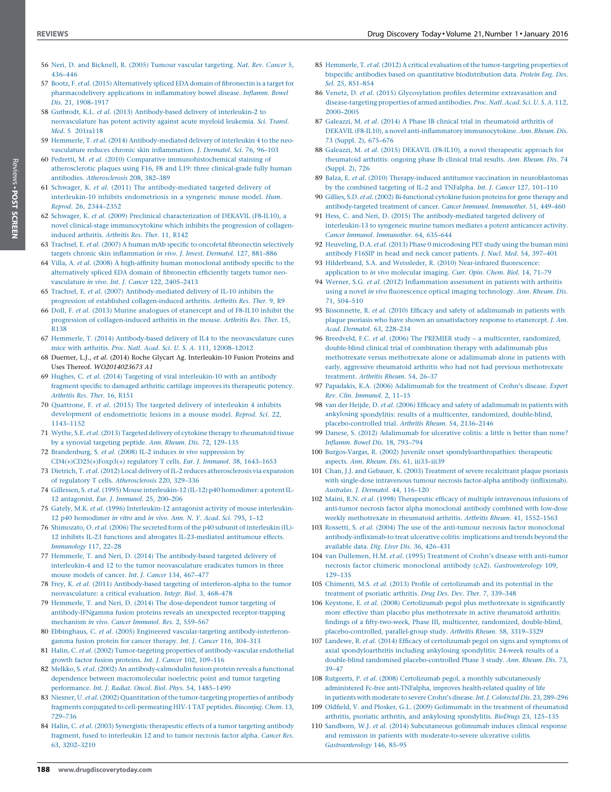188 www.drugdiscoverytoday.com

Reviews - POST SCREEN

- <span id="page-8-0"></span>56 Neri, D. and Bicknell, R. (2005) Tumour vascular [targeting.](http://refhub.elsevier.com/S1359-6446(15)00389-X/sbref0960) Nat. Rev. Cancer 5, [436–446](http://refhub.elsevier.com/S1359-6446(15)00389-X/sbref0960)
- 57 Bootz, F. et al. (2015) [Alternatively](http://refhub.elsevier.com/S1359-6446(15)00389-X/sbref0965) spliced EDA domain of fibronectin is a target for [pharmacodelivery](http://refhub.elsevier.com/S1359-6446(15)00389-X/sbref0965) applications in inflammatory bowel disease. Inflamm. Bowel Dis. 21, [1908–1917](http://refhub.elsevier.com/S1359-6446(15)00389-X/sbref0965)
- 58 Gutbrodt, K.L. et al. (2013) [Antibody-based](http://refhub.elsevier.com/S1359-6446(15)00389-X/sbref0970) delivery of interleukin-2 to [neovasculature](http://refhub.elsevier.com/S1359-6446(15)00389-X/sbref0970) has potent activity against acute myeloid leukemia. Sci. Transl. Med. 5 [201ra118](http://refhub.elsevier.com/S1359-6446(15)00389-X/sbref0970)
- 59 Hemmerle, T. et al. (2014) [Antibody-mediated](http://refhub.elsevier.com/S1359-6446(15)00389-X/sbref0975) delivery of interleukin 4 to the neovasculature reduces chronic skin [inflammation.](http://refhub.elsevier.com/S1359-6446(15)00389-X/sbref0975) J. Dermatol. Sci. 76, 96–103
- 60 Pedretti, M. et al. (2010) Comparative [immunohistochemical](http://refhub.elsevier.com/S1359-6446(15)00389-X/sbref0980) staining of [atherosclerotic](http://refhub.elsevier.com/S1359-6446(15)00389-X/sbref0980) plaques using F16, F8 and L19: three clinical-grade fully human antibodies. [Atherosclerosis](http://refhub.elsevier.com/S1359-6446(15)00389-X/sbref0980) 208, 382–389
- 61 Schwager, K. et al. (2011) The [antibody-mediated](http://refhub.elsevier.com/S1359-6446(15)00389-X/sbref0985) targeted delivery of [interleukin-10](http://refhub.elsevier.com/S1359-6446(15)00389-X/sbref0985) inhibits endometriosis in a syngeneic mouse model. Hum. Reprod. 26, [2344–2352](http://refhub.elsevier.com/S1359-6446(15)00389-X/sbref0985)
- 62 Schwager, K. et al. (2009) Preclinical [characterization](http://refhub.elsevier.com/S1359-6446(15)00389-X/sbref0990) of DEKAVIL (F8-IL10), a novel clinical-stage [immunocytokine](http://refhub.elsevier.com/S1359-6446(15)00389-X/sbref0990) which inhibits the progression of collageninduced [arthritis.](http://refhub.elsevier.com/S1359-6446(15)00389-X/sbref0990) Arthritis Res. Ther. 11, R142
- 63 Trachsel, E. et al. (2007) A human mAb specific to oncofetal [fibronectin](http://refhub.elsevier.com/S1359-6446(15)00389-X/sbref0995) selectively targets chronic skin [inflammation](http://refhub.elsevier.com/S1359-6446(15)00389-X/sbref0995) in vivo. J. Invest. Dermatol. 127, 881–886
- 64 Villa, A. et al. (2008) A [high-affinity](http://refhub.elsevier.com/S1359-6446(15)00389-X/sbref1000) human monoclonal antibody specific to the [alternatively](http://refhub.elsevier.com/S1359-6446(15)00389-X/sbref1000) spliced EDA domain of fibronectin efficiently targets tumor neo[vasculature](http://refhub.elsevier.com/S1359-6446(15)00389-X/sbref1000) in vivo. Int. J. Cancer 122, 2405–2413
- 65 Trachsel, E. et al. (2007) [Antibody-mediated](http://refhub.elsevier.com/S1359-6446(15)00389-X/sbref1005) delivery of IL-10 inhibits the progression of established [collagen-induced](http://refhub.elsevier.com/S1359-6446(15)00389-X/sbref1005) arthritis. Arthritis Res. Ther. 9, R9
- 66 Doll, F. et al. (2013) Murine analogues of [etanercept](http://refhub.elsevier.com/S1359-6446(15)00389-X/sbref1010) and of F8-IL10 inhibit the progression of [collagen-induced](http://refhub.elsevier.com/S1359-6446(15)00389-X/sbref1010) arthritis in the mouse. Arthritis Res. Ther. 15, [R138](http://refhub.elsevier.com/S1359-6446(15)00389-X/sbref1010)
- 67 Hemmerle, T. (2014) [Antibody-based](http://refhub.elsevier.com/S1359-6446(15)00389-X/sbref1015) delivery of IL4 to the neovasculature cures mice with arthritis. Proc. Natl. Acad. Sci. U. S. A. 111, [12008–12012](http://refhub.elsevier.com/S1359-6446(15)00389-X/sbref1015)
- 68 Duerner, L.J., et al. (2014) Roche Glycart Ag. Interleukin-10 Fusion Proteins and Uses Thereof. WO2014023673 A1
- 69 Hughes, C. et al. (2014) Targeting of viral [interleukin-10](http://refhub.elsevier.com/S1359-6446(15)00389-X/sbref1025) with an antibody fragment specific to damaged arthritic cartilage improves its [therapeutic](http://refhub.elsevier.com/S1359-6446(15)00389-X/sbref1025) potency. [Arthritis](http://refhub.elsevier.com/S1359-6446(15)00389-X/sbref1025) Res. Ther. 16, R151
- 70 Quattrone, F. et al. (2015) The targeted delivery of [interleukin](http://refhub.elsevier.com/S1359-6446(15)00389-X/sbref1030) 4 inhibits development of [endometriotic](http://refhub.elsevier.com/S1359-6446(15)00389-X/sbref1030) lesions in a mouse model. Reprod. Sci. 22, [1143–1152](http://refhub.elsevier.com/S1359-6446(15)00389-X/sbref1030)
- 71 Wythe, S.E. et al. (2013) Targeted delivery of cytokine therapy to [rheumatoid](http://refhub.elsevier.com/S1359-6446(15)00389-X/sbref1035) tissue by a synovial [targeting](http://refhub.elsevier.com/S1359-6446(15)00389-X/sbref1035) peptide. Ann. Rheum. Dis. 72, 129–135
- 72 [Brandenburg,](http://refhub.elsevier.com/S1359-6446(15)00389-X/sbref1040) S. et al. (2008) IL-2 induces in vivo suppression by [CD4\(+\)CD25\(+\)Foxp3\(+\)](http://refhub.elsevier.com/S1359-6446(15)00389-X/sbref1040) regulatory T cells. Eur. J. Immunol. 38, 1643–1653
- 73 Dietrich, T. et al. (2012) Local delivery of IL-2 reduces [atherosclerosis](http://refhub.elsevier.com/S1359-6446(15)00389-X/sbref1045) via expansion of regulatory T cells. [Atherosclerosis](http://refhub.elsevier.com/S1359-6446(15)00389-X/sbref1045) 220, 329–336
- 74 Gillessen, S. et al. (1995) Mouse [interleukin-12](http://refhub.elsevier.com/S1359-6446(15)00389-X/sbref1050) (IL-12) p40 homodimer: a potent IL-12 [antagonist.](http://refhub.elsevier.com/S1359-6446(15)00389-X/sbref1050) Eur. J. Immunol. 25, 200–206
- 75 Gately, M.K. et al. (1996) [Interleukin-12](http://refhub.elsevier.com/S1359-6446(15)00389-X/sbref1055) antagonist activity of mouse interleukin-12 p40 [homodimer](http://refhub.elsevier.com/S1359-6446(15)00389-X/sbref1055) in vitro and in vivo. Ann. N. Y. Acad. Sci. 795, 1–12
- 76 [Shimozato,](http://refhub.elsevier.com/S1359-6446(15)00389-X/sbref1060) O. et al. (2006) The secreted form of the p40 subunit of interleukin (IL)- 12 inhibits IL-23 functions and abrogates [IL-23-mediated](http://refhub.elsevier.com/S1359-6446(15)00389-X/sbref1060) antitumour effects. [Immunology](http://refhub.elsevier.com/S1359-6446(15)00389-X/sbref1060) 117, 22–28
- 77 Hemmerle, T. and Neri, D. (2014) The [antibody-based](http://refhub.elsevier.com/S1359-6446(15)00389-X/sbref1065) targeted delivery of interleukin-4 and 12 to the tumor [neovasculature](http://refhub.elsevier.com/S1359-6446(15)00389-X/sbref1065) eradicates tumors in three mouse models of cancer. Int. J. Cancer 134, [467–477](http://refhub.elsevier.com/S1359-6446(15)00389-X/sbref1065)
- 78 Frey, K. et al. (2011) Antibody-based targeting of [interferon-alpha](http://refhub.elsevier.com/S1359-6446(15)00389-X/sbref1070) to the tumor [neovasculature:](http://refhub.elsevier.com/S1359-6446(15)00389-X/sbref1070) a critical evaluation. Integr. Biol. 3, 468–478
- 79 Hemmerle, T. and Neri, D. (2014) The [dose-dependent](http://refhub.elsevier.com/S1359-6446(15)00389-X/sbref1075) tumor targeting of [antibody-IFNgamma](http://refhub.elsevier.com/S1359-6446(15)00389-X/sbref1075) fusion proteins reveals an unexpected receptor-trapping [mechanism](http://refhub.elsevier.com/S1359-6446(15)00389-X/sbref1075) in vivo. Cancer Immunol. Res. 2, 559–567
- 80 Ebbinghaus, C. et al. (2005) Engineered vascular-targeting [antibody-interferon](http://refhub.elsevier.com/S1359-6446(15)00389-X/sbref1080)gamma fusion protein for cancer [therapy.](http://refhub.elsevier.com/S1359-6446(15)00389-X/sbref1080) Int. J. Cancer 116, 304–313
- 81 Halin, C. et al. (2002) Tumor-targeting properties of [antibody-vascular](http://refhub.elsevier.com/S1359-6446(15)00389-X/sbref1085) endothelial growth factor fusion [proteins.](http://refhub.elsevier.com/S1359-6446(15)00389-X/sbref1085) Int. J. Cancer 102, 109–116
- 82 Melkko, S. et al. (2002) An [antibody-calmodulin](http://refhub.elsevier.com/S1359-6446(15)00389-X/sbref1090) fusion protein reveals a functional dependence between [macromolecular](http://refhub.elsevier.com/S1359-6446(15)00389-X/sbref1090) isoelectric point and tumor targeting [performance.](http://refhub.elsevier.com/S1359-6446(15)00389-X/sbref1090) Int. J. Radiat. Oncol. Biol. Phys. 54, 1485–1490
- 83 Niesner, U. et al. (2002) Quantitation of the [tumor-targeting](http://refhub.elsevier.com/S1359-6446(15)00389-X/sbref1095) properties of antibody fragments conjugated to [cell-permeating](http://refhub.elsevier.com/S1359-6446(15)00389-X/sbref1095) HIV-1 TAT peptides. Bioconjug. Chem. 13, [729–736](http://refhub.elsevier.com/S1359-6446(15)00389-X/sbref1095)
- 84 Halin, C. et al. (2003) Synergistic [therapeutic](http://refhub.elsevier.com/S1359-6446(15)00389-X/sbref1100) effects of a tumor targeting antibody fragment, fused to [interleukin](http://refhub.elsevier.com/S1359-6446(15)00389-X/sbref1100) 12 and to tumor necrosis factor alpha. Cancer Res. 63, [3202–3210](http://refhub.elsevier.com/S1359-6446(15)00389-X/sbref1100)
- 85 Hemmerle, T. et al. (2012) A critical evaluation of the [tumor-targeting](http://refhub.elsevier.com/S1359-6446(15)00389-X/sbref1105) properties of bispecific antibodies based on quantitative [biodistribution](http://refhub.elsevier.com/S1359-6446(15)00389-X/sbref1105) data. Protein Eng. Des. Sel. 25, [851–854](http://refhub.elsevier.com/S1359-6446(15)00389-X/sbref1105)
- 86 Venetz, D. et al. (2015) [Glycosylation](http://refhub.elsevier.com/S1359-6446(15)00389-X/sbref1110) profiles determine extravasation and [disease-targeting](http://refhub.elsevier.com/S1359-6446(15)00389-X/sbref1110) properties of armed antibodies. Proc. Natl. Acad. Sci. U. S. A. 112, [2000–2005](http://refhub.elsevier.com/S1359-6446(15)00389-X/sbref1110)
- 87 Galeazzi, M. et al. (2014) A Phase IB clinical trial in [rheumatoid](http://refhub.elsevier.com/S1359-6446(15)00389-X/sbref1115) arthritis of DEKAVIL (F8-IL10), a novel [anti-inflammatory](http://refhub.elsevier.com/S1359-6446(15)00389-X/sbref1115) immunocytokine. Ann. Rheum. Dis. 73 (Suppl. 2), [675–676](http://refhub.elsevier.com/S1359-6446(15)00389-X/sbref1115)
- 88 Galeazzi, M. et al. (2015) DEKAVIL (F8-IL10), a novel [therapeutic](http://refhub.elsevier.com/S1359-6446(15)00389-X/sbref1120) approach for [rheumatoid](http://refhub.elsevier.com/S1359-6446(15)00389-X/sbref1120) arthritis: ongoing phase Ib clinical trial results. Ann. Rheum. Dis. 74 [\(Suppl.](http://refhub.elsevier.com/S1359-6446(15)00389-X/sbref1120) 2), 726
- 89 Balza, E. et al. (2010) [Therapy-induced](http://refhub.elsevier.com/S1359-6446(15)00389-X/sbref1125) antitumor vaccination in neuroblastomas by the combined targeting of IL-2 and [TNFalpha.](http://refhub.elsevier.com/S1359-6446(15)00389-X/sbref1125) Int. J. Cancer 127, 101–110
- 90 Gillies, S.D. et al. (2002) [Bi-functional](http://refhub.elsevier.com/S1359-6446(15)00389-X/sbref1130) cytokine fusion proteins for gene therapy and [antibody-targeted](http://refhub.elsevier.com/S1359-6446(15)00389-X/sbref1130) treatment of cancer. Cancer Immunol. Immunother. 51, 449–460
- 91 Hess, C. and Neri, D. (2015) The [antibody-mediated](http://refhub.elsevier.com/S1359-6446(15)00389-X/sbref1135) targeted delivery of [interleukin-13](http://refhub.elsevier.com/S1359-6446(15)00389-X/sbref1135) to syngeneic murine tumors mediates a potent anticancer activity. Cancer Immunol. [Immunother.](http://refhub.elsevier.com/S1359-6446(15)00389-X/sbref1135) 64, 635–644
- 92 Heuveling, D.A. et al. (2013) Phase 0 [microdosing](http://refhub.elsevier.com/S1359-6446(15)00389-X/sbref1140) PET study using the human mini [antibody](http://refhub.elsevier.com/S1359-6446(15)00389-X/sbref1140) F16SIP in head and neck cancer patients. J. Nucl. Med. 54, 397–401
- 93 Hilderbrand, S.A. and Weissleder, R. (2010) [Near-infrared](http://refhub.elsevier.com/S1359-6446(15)00389-X/sbref1145) fluorescence: [application](http://refhub.elsevier.com/S1359-6446(15)00389-X/sbref1145) to in vivo molecular imaging. Curr. Opin. Chem. Biol. 14, 71–79
- 94 Werner, S.G. et al. (2012) [Inflammation](http://refhub.elsevier.com/S1359-6446(15)00389-X/sbref1150) assessment in patients with arthritis using a novel in vivo [fluorescence](http://refhub.elsevier.com/S1359-6446(15)00389-X/sbref1150) optical imaging technology. Ann. Rheum. Dis. 71, [504–510](http://refhub.elsevier.com/S1359-6446(15)00389-X/sbref1150)
- 95 Bissonnette, R. et al. (2010) Efficacy and safety of [adalimumab](http://refhub.elsevier.com/S1359-6446(15)00389-X/sbref1155) in patients with plaque psoriasis who have shown an [unsatisfactory](http://refhub.elsevier.com/S1359-6446(15)00389-X/sbref1155) response to etanercept. J. Am. Acad. [Dermatol.](http://refhub.elsevier.com/S1359-6446(15)00389-X/sbref1155) 63, 228–234
- 96 Breedveld, F.C. et al. (2006) The PREMIER study a multicenter, [randomized,](http://refhub.elsevier.com/S1359-6446(15)00389-X/sbref1160) double-blind clinical trial of [combination](http://refhub.elsevier.com/S1359-6446(15)00389-X/sbref1160) therapy with adalimumab plus [methotrexate](http://refhub.elsevier.com/S1359-6446(15)00389-X/sbref1160) versus methotrexate alone or adalimumab alone in patients with early, aggressive rheumatoid arthritis who had not had previous [methotrexate](http://refhub.elsevier.com/S1359-6446(15)00389-X/sbref1160) [treatment.](http://refhub.elsevier.com/S1359-6446(15)00389-X/sbref1160) Arthritis Rheum. 54, 26–37
- 97 Papadakis, K.A. (2006) [Adalimumab](http://refhub.elsevier.com/S1359-6446(15)00389-X/sbref1165) for the treatment of Crohn's disease. Expert Rev. Clin. [Immunol.](http://refhub.elsevier.com/S1359-6446(15)00389-X/sbref1165) 2, 11–15
- 98 van der Heijde, D. et al. (2006) Efficacy and safety of [adalimumab](http://refhub.elsevier.com/S1359-6446(15)00389-X/sbref1170) in patients with ankylosing spondylitis: results of a multicenter, randomized, [double-blind,](http://refhub.elsevier.com/S1359-6446(15)00389-X/sbref1170) [placebo-controlled](http://refhub.elsevier.com/S1359-6446(15)00389-X/sbref1170) trial. Arthritis Rheum. 54, 2136–2146
- 99 Danese, S. (2012) [Adalimumab](http://refhub.elsevier.com/S1359-6446(15)00389-X/sbref1175) for ulcerative colitis: a little is better than none? [Inflamm.](http://refhub.elsevier.com/S1359-6446(15)00389-X/sbref1175) Bowel Dis. 18, 793–794
- 100 Burgos-Vargas, R. (2002) Juvenile onset [spondyloarthropathies:](http://refhub.elsevier.com/S1359-6446(15)00389-X/sbref1180) therapeutic aspects. Ann. Rheum. Dis. 61, [iii33–iii39](http://refhub.elsevier.com/S1359-6446(15)00389-X/sbref1180)
- 101 Chan, J.J. and Gebauer, K. (2003) Treatment of severe [recalcitrant](http://refhub.elsevier.com/S1359-6446(15)00389-X/sbref1185) plaque psoriasis with single-dose intravenous tumour necrosis factor-alpha antibody [\(infliximab\).](http://refhub.elsevier.com/S1359-6446(15)00389-X/sbref1185) [Australas.](http://refhub.elsevier.com/S1359-6446(15)00389-X/sbref1185) J. Dermatol. 44, 116–120
- 102 Maini, R.N. et al. (1998) Therapeutic efficacy of multiple [intravenous](http://refhub.elsevier.com/S1359-6446(15)00389-X/sbref1190) infusions of anti-tumor necrosis factor alpha [monoclonal](http://refhub.elsevier.com/S1359-6446(15)00389-X/sbref1190) antibody combined with low-dose weekly [methotrexate](http://refhub.elsevier.com/S1359-6446(15)00389-X/sbref1190) in rheumatoid arthritis. Arthritis Rheum. 41, 1552–1563
- 103 Rossetti, S. et al. (2004) The use of the [anti-tumour](http://refhub.elsevier.com/S1359-6446(15)00389-X/sbref1195) necrosis factor monoclonal [antibody-infliximab-to](http://refhub.elsevier.com/S1359-6446(15)00389-X/sbref1195) treat ulcerative colitis: implications and trends beyond the [available](http://refhub.elsevier.com/S1359-6446(15)00389-X/sbref1195) data. Dig. Liver Dis. 36, 426–431
- 104 van Dullemen, H.M. et al. (1995) Treatment of Crohn's disease with [anti-tumor](http://refhub.elsevier.com/S1359-6446(15)00389-X/sbref1200) necrosis factor chimeric monoclonal antibody (cA2). [Gastroenterology](http://refhub.elsevier.com/S1359-6446(15)00389-X/sbref1200) 109, [129–135](http://refhub.elsevier.com/S1359-6446(15)00389-X/sbref1200)
- 105 Chimenti, M.S. et al. (2013) Profile of [certolizumab](http://refhub.elsevier.com/S1359-6446(15)00389-X/sbref1205) and its potential in the [treatment](http://refhub.elsevier.com/S1359-6446(15)00389-X/sbref1205) of psoriatic arthritis. Drug Des. Dev. Ther. 7, 339–348
- 106 Keystone, E. et al. (2008) [Certolizumab](http://refhub.elsevier.com/S1359-6446(15)00389-X/sbref1210) pegol plus methotrexate is significantly more effective than placebo plus [methotrexate](http://refhub.elsevier.com/S1359-6446(15)00389-X/sbref1210) in active rheumatoid arthritis: findings of a [fifty-two-week,](http://refhub.elsevier.com/S1359-6446(15)00389-X/sbref1210) Phase III, multicenter, randomized, double-blind, [placebo-controlled,](http://refhub.elsevier.com/S1359-6446(15)00389-X/sbref1210) parallel-group study. Arthritis Rheum. 58, 3319–3329
- 107 Landewe, R. et al. (2014) Efficacy of [certolizumab](http://refhub.elsevier.com/S1359-6446(15)00389-X/sbref1215) pegol on signs and symptoms of axial [spondyloarthritis](http://refhub.elsevier.com/S1359-6446(15)00389-X/sbref1215) including ankylosing spondylitis: 24-week results of a double-blind randomised [placebo-controlled](http://refhub.elsevier.com/S1359-6446(15)00389-X/sbref1215) Phase 3 study. Ann. Rheum. Dis. 73, [39–47](http://refhub.elsevier.com/S1359-6446(15)00389-X/sbref1215)
- 108 Rutgeerts, P. et al. (2008) Certolizumab pegol, a monthly [subcutaneously](http://refhub.elsevier.com/S1359-6446(15)00389-X/sbref1220) administered Fc-free [anti-TNFalpha,](http://refhub.elsevier.com/S1359-6446(15)00389-X/sbref1220) improves health-related quality of life in patients with [moderate](http://refhub.elsevier.com/S1359-6446(15)00389-X/sbref1220) to severe Crohn's disease. Int.J. Colorectal Dis. 23, 289–296
- 109 Oldfield, V. and Plosker, G.L. (2009) [Golimumab:](http://refhub.elsevier.com/S1359-6446(15)00389-X/sbref1225) in the treatment of rheumatoid arthritis, psoriatic arthritis, and ankylosing [spondylitis.](http://refhub.elsevier.com/S1359-6446(15)00389-X/sbref1225) BioDrugs 23, 125–135
- 110 Sandborn, W.J. et al. (2014) [Subcutaneous](http://refhub.elsevier.com/S1359-6446(15)00389-X/sbref1230) golimumab induces clinical response and remission in patients with [moderate-to-severe](http://refhub.elsevier.com/S1359-6446(15)00389-X/sbref1230) ulcerative colitis. [Gastroenterology](http://refhub.elsevier.com/S1359-6446(15)00389-X/sbref1230) 146, 85–95